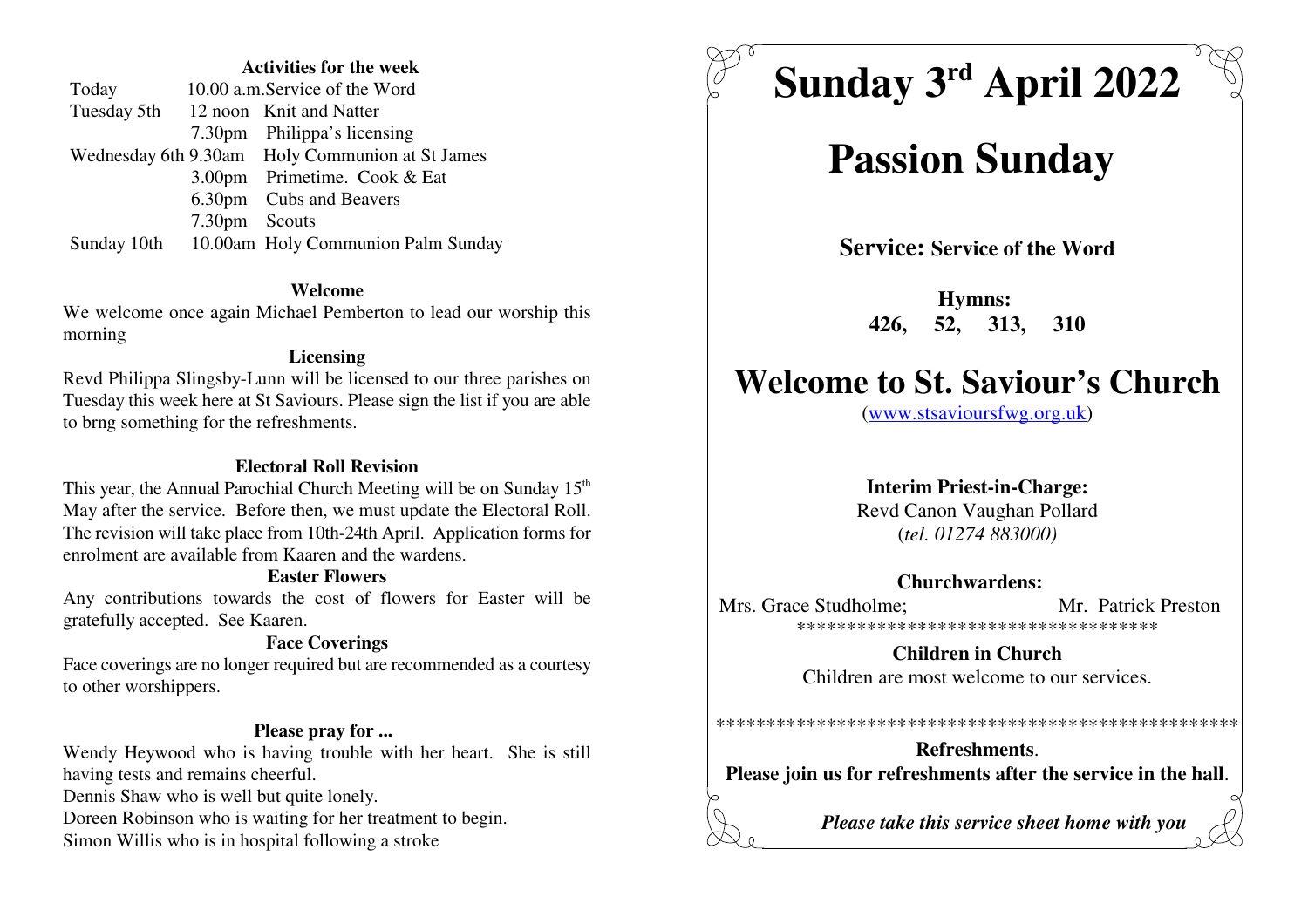#### **Activities for the week**

| Today       |               | 10.00 a.m. Service of the Word                  |
|-------------|---------------|-------------------------------------------------|
|             |               | Tuesday 5th 12 noon Knit and Natter             |
|             |               | 7.30pm Philippa's licensing                     |
|             |               | Wednesday 6th 9.30am Holy Communion at St James |
|             |               | 3.00pm Primetime. Cook & Eat                    |
|             |               | 6.30pm Cubs and Beavers                         |
|             | 7.30pm Scouts |                                                 |
| Sunday 10th |               | 10.00am Holy Communion Palm Sunday              |

#### **Welcome**

 We welcome once again Michael Pemberton to lead our worship thismorning

#### **Licensing**

 Revd Philippa Slingsby-Lunn will be licensed to our three parishes on Tuesday this week here at St Saviours. Please sign the list if you are ableto brng something for the refreshments.

#### **Electoral Roll Revision**

This year, the Annual Parochial Church Meeting will be on Sunday 15<sup>th</sup> May after the service. Before then, we must update the Electoral Roll. The revision will take place from 10th-24th April. Application forms forenrolment are available from Kaaren and the wardens.

#### **Easter Flowers**

 Any contributions towards the cost of flowers for Easter will begratefully accepted. See Kaaren.

### **Face Coverings**

 Face coverings are no longer required but are recommended as a courtesyto other worshippers.

#### **Please pray for ...**

 Wendy Heywood who is having trouble with her heart. She is stillhaving tests and remains cheerful.

Dennis Shaw who is well but quite lonely.

Doreen Robinson who is waiting for her treatment to begin.

Simon Willis who is in hospital following a stroke



# **Passion Sunday**

**Service: Service of the Word**

**Hymns: 426, 52, 313, 310**

## **Welcome to St. Saviour's Church**

(www.stsavioursfwg.org.uk)

#### **Interim Priest-in-Charge:**

 Revd Canon Vaughan Pollard(*tel. 01274 883000)*

#### **Churchwardens:**

Mrs. Grace Studholme; Mr. Patrick Preston \*\*\*\*\*\*\*\*\*\*\*\*\*\*\*\*\*\*\*\*\*\*\*\*\*\*\*\*\*\*\*\*\*\*\*\*

> **Children in Church**Children are most welcome to our services.

**Refreshments**.**Please join us for refreshments after the service in the hall**.

\*\*\*\*\*\*\*\*\*\*\*\*\*\*\*\*\*\*\*\*\*\*\*\*\*\*\*\*\*\*\*\*\*\*\*\*\*\*\*\*\*\*\*\*\*\*\*\*\*\*\*\*

*Please take this service sheet home with you*